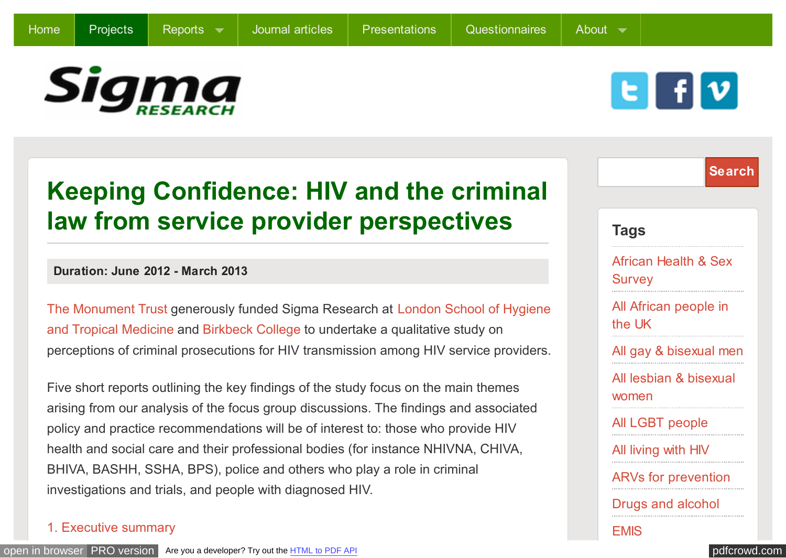

E

# **Keeping Confidence: HIV and the criminal law from service provider perspectives**

### **Duration: June 2012 - March 2013**

[The Monument Trust generously funded Sigma Research at London School of Hygiene](http://www.lshtm.ac.uk/) and Tropical Medicine and [Birkbeck College](http://www.bbk.ac.uk/) to undertake a qualitative study on perceptions of criminal prosecutions for HIV transmission among HIV service providers.

Five short reports outlining the key findings of the study focus on the main themes arising from our analysis of the focus group discussions. The findings and associated policy and practice recommendations will be of interest to: those who provide HIV health and social care and their professional bodies (for instance NHIVNA, CHIVA, BHIVA, BASHH, SSHA, BPS), police and others who play a role in criminal investigations and trials, and people with diagnosed HIV.

### [1. Executive summary](http://sigmaresearch.org.uk/files/report2013e.pdf)

|                                                  | <b>Search</b> |
|--------------------------------------------------|---------------|
|                                                  |               |
| <b>Tags</b>                                      |               |
| <b>African Health &amp; Sex</b><br><b>Survey</b> |               |
| All African people in<br>the UK                  |               |
| All gay & bisexual men                           |               |
| All lesbian & bisexual<br>women                  |               |
| All LGBT people                                  |               |
| All living with HIV                              |               |
| <b>ARVs for prevention</b>                       |               |
| <b>Drugs and alcohol</b>                         |               |
| EMIS                                             |               |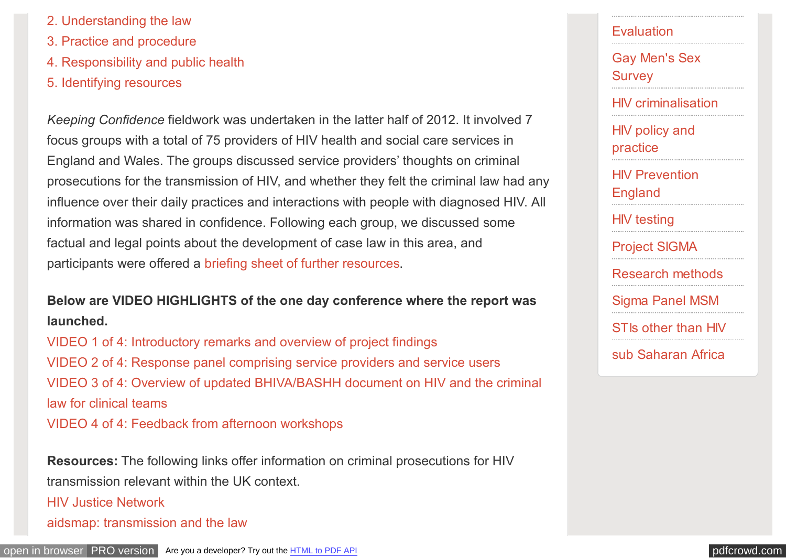- [2. Understanding the law](http://sigmaresearch.org.uk/files/report2013d.pdf)
- [3. Practice and procedure](http://sigmaresearch.org.uk/files/report2013c.pdf)
- [4. Responsibility and public health](http://sigmaresearch.org.uk/files/report2013b.pdf)
- [5. Identifying resources](http://sigmaresearch.org.uk/files/report2013a.pdf)

*Keeping Confidence* fieldwork was undertaken in the latter half of 2012. It involved 7 focus groups with a total of 75 providers of HIV health and social care services in England and Wales. The groups discussed service providers' thoughts on criminal prosecutions for the transmission of HIV, and whether they felt the criminal law had any influence over their daily practices and interactions with people with diagnosed HIV. All information was shared in confidence. Following each group, we discussed some factual and legal points about the development of case law in this area, and participants were offered a [briefing sheet of further resources.](http://sigmaresearch.org.uk/files/Resources_for_Research_Participants.pdf)

**Below are VIDEO HIGHLIGHTS of the one day conference where the report was launched.**

[VIDEO 1 of 4: Introductory remarks and overview of project findings](http://vimeo.com/62765868) [VIDEO 2 of 4: Response panel comprising service providers and service users](http://vimeo.com/62735862) [VIDEO 3 of 4: Overview of updated BHIVA/BASHH document on HIV and the criminal](http://vimeo.com/62733721) law for clinical teams [VIDEO 4 of 4: Feedback from afternoon workshops](http://vimeo.com/62718855)

**Resources:** The following links offer information on criminal prosecutions for HIV transmission relevant within the UK context.

[HIV Justice Network](http://www.hivjustice.net/)

[aidsmap: transmission and the law](http://www.aidsmap.com/Transmission-and-the-law/page/2258338/)

## **[Evaluation](http://sigmaresearch.org.uk/tags/all/tag/Evaluation)**

[Gay Men's Sex](http://sigmaresearch.org.uk/tags/all/tag/Gay-Men) **Survey** 

[HIV criminalisation](http://sigmaresearch.org.uk/tags/all/tag/HIV-criminalisation)

[HIV policy and](http://sigmaresearch.org.uk/tags/all/tag/HIV-policy-and-practice) practice

[HIV Prevention](http://sigmaresearch.org.uk/tags/all/tag/HIV-Prevention-England) England

[HIV testing](http://sigmaresearch.org.uk/tags/all/tag/HIV-testing)

[Project SIGMA](http://sigmaresearch.org.uk/tags/all/tag/Project-SIGMA)

[Research methods](http://sigmaresearch.org.uk/tags/all/tag/Research-methods)

[Sigma Panel MSM](http://sigmaresearch.org.uk/tags/all/tag/Sigma-Panel-MSM)

[STIs other than HIV](http://sigmaresearch.org.uk/tags/all/tag/STIs-other-than-HIV)

[sub Saharan Africa](http://sigmaresearch.org.uk/tags/all/tag/sub-Saharan-Africa)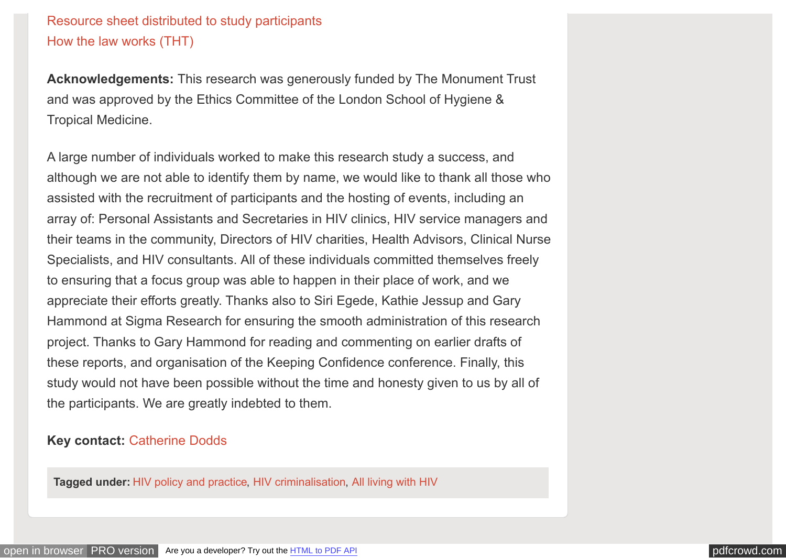### [Resource sheet distributed to study participants](http://sigmaresearch.org.uk/files/Resources_for_Research_Participants.pdf) [How the law works \(THT\)](http://sigmaresearch.org.uk/files/how-the-law-works-terrence-higgins-trust.pdf)

**Acknowledgements:** This research was generously funded by The Monument Trust and was approved by the Ethics Committee of the London School of Hygiene & Tropical Medicine.

A large number of individuals worked to make this research study a success, and although we are not able to identify them by name, we would like to thank all those who assisted with the recruitment of participants and the hosting of events, including an array of: Personal Assistants and Secretaries in HIV clinics, HIV service managers and their teams in the community, Directors of HIV charities, Health Advisors, Clinical Nurse Specialists, and HIV consultants. All of these individuals committed themselves freely to ensuring that a focus group was able to happen in their place of work, and we appreciate their efforts greatly. Thanks also to Siri Egede, Kathie Jessup and Gary Hammond at Sigma Research for ensuring the smooth administration of this research project. Thanks to Gary Hammond for reading and commenting on earlier drafts of these reports, and organisation of the Keeping Confidence conference. Finally, this study would not have been possible without the time and honesty given to us by all of the participants. We are greatly indebted to them.

#### **Key contact:** [Catherine Dodds](http://sigmaresearch.org.uk/index.php/about/profile/catherine-dodds)

**Tagged under:** [HIV policy and practice,](http://sigmaresearch.org.uk/tags/all/tag/HIV-policy-and-practice) [HIV criminalisation,](http://sigmaresearch.org.uk/tags/all/tag/HIV-criminalisation) [All living with HIV](http://sigmaresearch.org.uk/tags/all/tag/All-living-with-HIV)